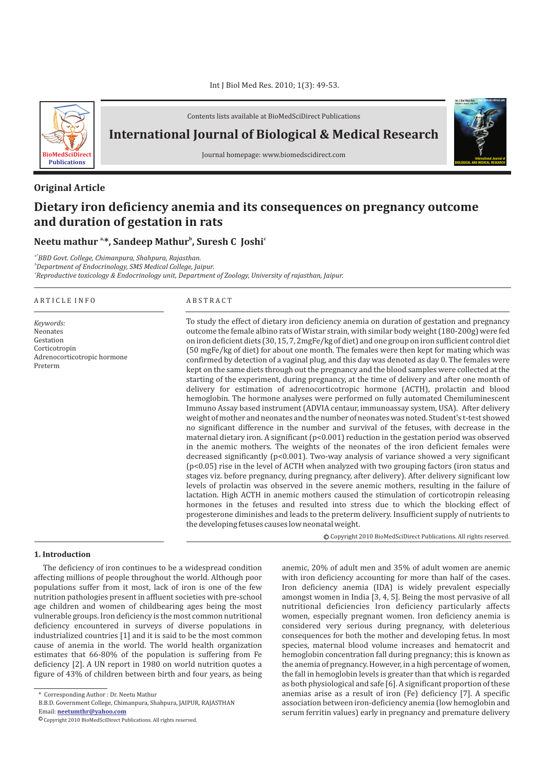

Contents lists available at BioMedSciDirect Publications

# **International Journal of Biological & Medical Research**

Journal homepage: www.biomedscidirect.com

# **Original Article**

# **Dietary iron deficiency anemia and its consequences on pregnancy outcome and duration of gestation in rats**

## **a, <sup>b</sup> <sup>c</sup> Neetu mathur \*, Sandeep Mathur , Suresh C Joshi**

*a\*BBD Govt. College, Chimanpura, Shahpura, Rajasthan. b Department of Endocrinology, SMS Medical College, Jaipur. c Reproductive toxicology & Endocrinology unit, Department of Zoology, University of rajasthan, Jaipur.*

#### A R T I C L E I N F O A B S T R A C T

*Keywords:* Neonates Gestation Corticotropin Adrenocorticotropic hormone Preterm

To study the effect of dietary iron deficiency anemia on duration of gestation and pregnancy outcome the female albino rats of Wistar strain, with similar body weight (180-200g) were fed on iron deficient diets (30, 15, 7, 2mgFe/kg of diet) and one group on iron sufficient control diet (50 mgFe/kg of diet) for about one month. The females were then kept for mating which was confirmed by detection of a vaginal plug, and this day was denoted as day 0. The females were kept on the same diets through out the pregnancy and the blood samples were collected at the starting of the experiment, during pregnancy, at the time of delivery and after one month of delivery for estimation of adrenocorticotropic hormone (ACTH), prolactin and blood hemoglobin. The hormone analyses were performed on fully automated Chemiluminescent Immuno Assay based instrument (ADVIA centaur, immunoassay system, USA). After delivery weight of mother and neonates and the number of neonates was noted. Student's t-test showed no significant difference in the number and survival of the fetuses, with decrease in the maternal dietary iron. A significant (p<0.001) reduction in the gestation period was observed in the anemic mothers. The weights of the neonates of the iron deficient females were decreased significantly  $(p<0.001)$ . Two-way analysis of variance showed a very significant (p<0.05) rise in the level of ACTH when analyzed with two grouping factors (iron status and stages viz. before pregnancy, during pregnancy, after delivery). After delivery significant low levels of prolactin was observed in the severe anemic mothers, resulting in the failure of lactation. High ACTH in anemic mothers caused the stimulation of corticotropin releasing hormones in the fetuses and resulted into stress due to which the blocking effect of progesterone diminishes and leads to the preterm delivery. Insufficient supply of nutrients to the developing fetuses causes low neonatal weight.

The deficiency of iron continues to be a widespread condition affecting millions of people throughout the world. Although poor populations suffer from it most, lack of iron is one of the few nutrition pathologies present in affluent societies with pre-school age children and women of childbearing ages being the most vulnerable groups. Iron deficiency is the most common nutritional deficiency encountered in surveys of diverse populations in industrialized countries [1] and it is said to be the most common cause of anemia in the world. The world health organization estimates that 66-80% of the population is suffering from Fe deficiency [2]. A UN report in 1980 on world nutrition quotes a figure of 43% of children between birth and four years, as being

**1. Introduction**

with iron deficiency accounting for more than half of the cases. Iron deficiency anemia (IDA) is widely prevalent especially amongst women in India [3, 4, 5]. Being the most pervasive of all nutritional deficiencies Iron deficiency particularly affects women, especially pregnant women. Iron deficiency anemia is considered very serious during pregnancy, with deleterious consequences for both the mother and developing fetus. In most species, maternal blood volume increases and hematocrit and hemoglobin concentration fall during pregnancy; this is known as the anemia of pregnancy. However, in a high percentage of women, the fall in hemoglobin levels is greater than that which is regarded as both physiological and safe [6]. A significant proportion of these anemias arise as a result of iron (Fe) deficiency [7]. A specific association between iron-deficiency anemia (low hemoglobin and serum ferritin values) early in pregnancy and premature delivery

anemic, 20% of adult men and 35% of adult women are anemic

© Copyright 2010 BioMedSciDirect Publications. All rights reserved.

**International Journal of BIOLOGICAL AND MEDICAL RESEARCH**

**Int J Biol Med Res www.biomedscidirect.com Volume 3, Issue 3, July 2010**

<sup>\*</sup> Corresponding Author : Dr. Neetu Mathur

B.B.D. Government College, Chimanpura, Shahpura, JAIPUR, RAJASTHAN

Email: **neetumthr@yahoo.com**

 $\mathbb O$  Copyright 2010 BioMedSciDirect Publications. All rights reserved.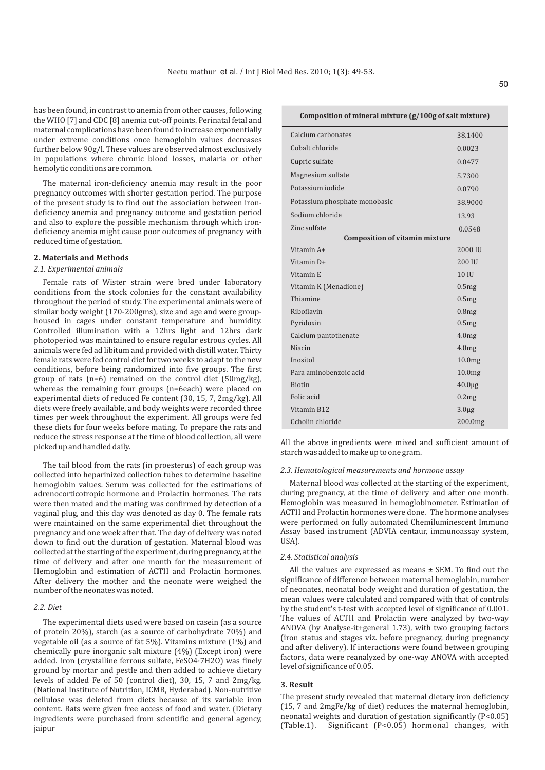has been found, in contrast to anemia from other causes, following the WHO [7] and CDC [8] anemia cut-off points. Perinatal fetal and maternal complications have been found to increase exponentially under extreme conditions once hemoglobin values decreases further below 90g/l. These values are observed almost exclusively in populations where chronic blood losses, malaria or other hemolytic conditions are common.

The maternal iron-deficiency anemia may result in the poor pregnancy outcomes with shorter gestation period. The purpose of the present study is to find out the association between irondeficiency anemia and pregnancy outcome and gestation period and also to explore the possible mechanism through which irondeficiency anemia might cause poor outcomes of pregnancy with reduced time of gestation.

### **2. Materials and Methods**

#### *2.1. Experimental animals*

Female rats of Wister strain were bred under laboratory conditions from the stock colonies for the constant availability throughout the period of study. The experimental animals were of similar body weight (170-200gms), size and age and were grouphoused in cages under constant temperature and humidity. Controlled illumination with a 12hrs light and 12hrs dark photoperiod was maintained to ensure regular estrous cycles. All animals were fed ad libitum and provided with distill water. Thirty female rats were fed control diet for two weeks to adapt to the new conditions, before being randomized into five groups. The first group of rats (n=6) remained on the control diet (50mg/kg), whereas the remaining four groups (n=6each) were placed on experimental diets of reduced Fe content (30, 15, 7, 2mg/kg). All diets were freely available, and body weights were recorded three times per week throughout the experiment. All groups were fed these diets for four weeks before mating. To prepare the rats and reduce the stress response at the time of blood collection, all were picked up and handled daily.

The tail blood from the rats (in proesterus) of each group was collected into heparinized collection tubes to determine baseline hemoglobin values. Serum was collected for the estimations of adrenocorticotropic hormone and Prolactin hormones. The rats were then mated and the mating was confirmed by detection of a vaginal plug, and this day was denoted as day 0. The female rats were maintained on the same experimental diet throughout the pregnancy and one week after that. The day of delivery was noted down to find out the duration of gestation. Maternal blood was collected at the starting of the experiment, during pregnancy, at the time of delivery and after one month for the measurement of Hemoglobin and estimation of ACTH and Prolactin hormones. After delivery the mother and the neonate were weighed the number of the neonates was noted.

#### *2.2. Diet*

The experimental diets used were based on casein (as a source of protein 20%), starch (as a source of carbohydrate 70%) and vegetable oil (as a source of fat 5%). Vitamins mixture (1%) and chemically pure inorganic salt mixture (4%) (Except iron) were added. Iron (crystalline ferrous sulfate, FeSO4·7H2O) was finely ground by mortar and pestle and then added to achieve dietary levels of added Fe of 50 (control diet), 30, 15, 7 and 2mg/kg. (National Institute of Nutrition, ICMR, Hyderabad). Non-nutritive cellulose was deleted from diets because of its variable iron content. Rats were given free access of food and water. (Dietary ingredients were purchased from scientific and general agency, jaipur

| Composition of mineral mixture (g/100g of salt mixture) |                    |  |  |  |
|---------------------------------------------------------|--------------------|--|--|--|
| Calcium carbonates                                      | 38.1400            |  |  |  |
| Cobalt chloride                                         | 0.0023             |  |  |  |
| Cupric sulfate                                          | 0.0477             |  |  |  |
| Magnesium sulfate                                       | 5.7300             |  |  |  |
| Potassium iodide                                        | 0.0790             |  |  |  |
| Potassium phosphate monobasic                           | 38.9000            |  |  |  |
| Sodium chloride                                         | 13.93              |  |  |  |
| Zinc sulfate                                            | 0.0548             |  |  |  |
| <b>Composition of vitamin mixture</b>                   |                    |  |  |  |
| Vitamin A+                                              | 2000 IU            |  |  |  |
| Vitamin D+                                              | 200 IU             |  |  |  |
| Vitamin E                                               | 10 IU              |  |  |  |
| Vitamin K (Menadione)                                   | 0.5mg              |  |  |  |
| Thiamine                                                | 0.5mg              |  |  |  |
| Rihoflavin                                              | 0.8 <sub>mg</sub>  |  |  |  |
| Pyridoxin                                               | 0.5mg              |  |  |  |
| Calcium pantothenate                                    | 4.0 <sub>mg</sub>  |  |  |  |
| <b>Niacin</b>                                           | 4.0 <sub>mg</sub>  |  |  |  |
| Inositol                                                | 10.0 <sub>mg</sub> |  |  |  |
| Para aminobenzoic acid                                  | 10.0 <sub>mg</sub> |  |  |  |
| <b>Biotin</b>                                           | $40.0 \mu g$       |  |  |  |
| Folic acid                                              | 0.2mg              |  |  |  |
| Vitamin B12                                             | $3.0\mug$          |  |  |  |
| Ccholin chloride                                        | 200.0mg            |  |  |  |

All the above ingredients were mixed and sufficient amount of starch was added to make up to one gram.

#### *2.3. Hematological measurements and hormone assay*

Maternal blood was collected at the starting of the experiment, during pregnancy, at the time of delivery and after one month. Hemoglobin was measured in hemoglobinometer. Estimation of ACTH and Prolactin hormones were done. The hormone analyses were performed on fully automated Chemiluminescent Immuno Assay based instrument (ADVIA centaur, immunoassay system, USA).

#### *2.4. Statistical analysis*

All the values are expressed as means ± SEM. To find out the significance of difference between maternal hemoglobin, number of neonates, neonatal body weight and duration of gestation, the mean values were calculated and compared with that of controls by the student's t-test with accepted level of significance of 0.001. The values of ACTH and Prolactin were analyzed by two-way ANOVA (by Analyse-it+general 1.73), with two grouping factors (iron status and stages viz. before pregnancy, during pregnancy and after delivery). If interactions were found between grouping factors, data were reanalyzed by one-way ANOVA with accepted level of significance of 0.05.

### **3. Result**

The present study revealed that maternal dietary iron deficiency (15, 7 and 2mgFe/kg of diet) reduces the maternal hemoglobin, neonatal weights and duration of gestation significantly (P<0.05) (Table.1). Significant (P<0.05) hormonal changes, with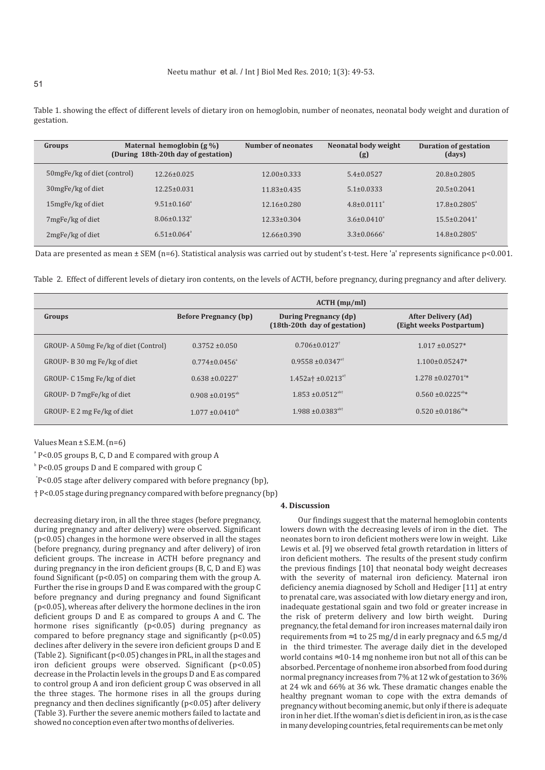| Groups                       | Maternal hemoglobin $(g\% )$<br>(During 18th-20th day of gestation) | Number of neonates | Neonatal body weight<br>(g) | <b>Duration of gestation</b><br>(days) |
|------------------------------|---------------------------------------------------------------------|--------------------|-----------------------------|----------------------------------------|
| 50 mgFe/kg of diet (control) | $12.26 \pm 0.025$                                                   | $12.00 \pm 0.333$  | $5.4 \pm 0.0527$            | $20.8 \pm 0.2805$                      |
| 30mgFe/kg of diet            | $12.25 \pm 0.031$                                                   | $11.83 \pm 0.435$  | $5.1 \pm 0.0333$            | $20.5 \pm 0.2041$                      |
| 15 mgFe/kg of diet           | $9.51 \pm 0.160^{\circ}$                                            | $12.16 \pm 0.280$  | $4.8 \pm 0.0111^{\circ}$    | $17.8 \pm 0.2805^{\circ}$              |
| 7mgFe/kg of diet             | $8.06 + 0.132$ <sup>a</sup>                                         | $12.33 \pm 0.304$  | $3.6\pm0.0410^4$            | $15.5 \pm 0.2041$ <sup>a</sup>         |
| 2mgFe/kg of diet             | $6.51 + 0.064$ <sup>a</sup>                                         | $12.66 \pm 0.390$  | $3.3 \pm 0.0666^{\circ}$    | $14.8 \pm 0.2805^{\circ}$              |

Table 1. showing the effect of different levels of dietary iron on hemoglobin, number of neonates, neonatal body weight and duration of gestation.

Data are presented as mean ± SEM (n=6). Statistical analysis was carried out by student's t-test. Here 'a' represents significance p<0.001.

Table 2. Effect of different levels of dietary iron contents, on the levels of ACTH, before pregnancy, during pregnancy and after delivery.

|                                      | $ACTH$ (m $\mu$ /ml)            |                                                              |                                                        |
|--------------------------------------|---------------------------------|--------------------------------------------------------------|--------------------------------------------------------|
| Groups                               | <b>Before Pregnancy (bp)</b>    | <b>During Pregnancy (dp)</b><br>(18th-20th day of gestation) | <b>After Delivery (Ad)</b><br>(Eight weeks Postpartum) |
| GROUP-A 50mg Fe/kg of diet (Control) | $0.3752 \pm 0.050$              | $0.706 \pm 0.0127$ <sup>†</sup>                              | $1.017 \pm 0.0527*$                                    |
| GROUP-B 30 mg Fe/kg of diet          | $0.774 + 0.0456$ <sup>a</sup>   | $0.9558 \pm 0.0347$ <sup>at</sup>                            | $1.100 \pm 0.05247*$                                   |
| GROUP- C 15mg Fe/kg of diet          | $0.638 \pm 0.0227$ <sup>a</sup> | $1.452a{\dagger}$ ±0.0213 <sup>a†</sup>                      | $1.278 \pm 0.02701$ <sup>a*</sup>                      |
| GROUP-D 7mgFe/kg of diet             | $0.908 + 0.0195^{ab}$           | $1.853 \pm 0.0512^{ab\dagger}$                               | $0.560 \pm 0.0225$ <sup>ab*</sup>                      |
| GROUP- E 2 mg Fe/kg of diet          | $1.077 \pm 0.0410^{ab}$         | $1.988 \pm 0.0383^{\text{ab}+}$                              | $0.520 \pm 0.0186^{\text{ab}}$ *                       |

Values Mean ± S.E.M. (n=6)

a P<0.05 groups B, C, D and E compared with group A

b P<0.05 groups D and E compared with group C

\* P<0.05 stage after delivery compared with before pregnancy (bp),

† P<0.05 stage during pregnancy compared with before pregnancy (bp)

decreasing dietary iron, in all the three stages (before pregnancy, during pregnancy and after delivery) were observed. Significant (p<0.05) changes in the hormone were observed in all the stages (before pregnancy, during pregnancy and after delivery) of iron deficient groups. The increase in ACTH before pregnancy and during pregnancy in the iron deficient groups (B, C, D and E) was found Significant (p<0.05) on comparing them with the group A. Further the rise in groups D and E was compared with the group C before pregnancy and during pregnancy and found Significant (p<0.05), whereas after delivery the hormone declines in the iron deficient groups D and E as compared to groups A and C. The hormone rises significantly (p<0.05) during pregnancy as compared to before pregnancy stage and significantly (p<0.05) declines after delivery in the severe iron deficient groups D and E (Table 2). Significant ( $p<0.05$ ) changes in PRL, in all the stages and iron deficient groups were observed. Significant (p<0.05) decrease in the Prolactin levels in the groups D and E as compared to control group A and iron deficient group C was observed in all the three stages. The hormone rises in all the groups during pregnancy and then declines significantly (p<0.05) after delivery (Table 3). Further the severe anemic mothers failed to lactate and showed no conception even after two months of deliveries.

#### **4. Discussion**

Our findings suggest that the maternal hemoglobin contents lowers down with the decreasing levels of iron in the diet. The neonates born to iron deficient mothers were low in weight. Like Lewis et al. [9] we observed fetal growth retardation in litters of iron deficient mothers. The results of the present study confirm the previous findings [10] that neonatal body weight decreases with the severity of maternal iron deficiency. Maternal iron deficiency anemia diagnosed by Scholl and Hediger [11] at entry to prenatal care, was associated with low dietary energy and iron, inadequate gestational sgain and two fold or greater increase in the risk of preterm delivery and low birth weight. During pregnancy, the fetal demand for iron increases maternal daily iron requirements from 1 to 25 mg/d in early pregnacy and 6.5 mg/d in the third trimester. The average daily diet in the developed world contains 10-14 mg nonheme iron but not all of this can be absorbed. Percentage of nonheme iron absorbed from food during normal pregnancy increases from 7% at 12 wk of gestation to 36% at 24 wk and 66% at 36 wk. These dramatic changes enable the healthy pregnant woman to cope with the extra demands of pregnancy without becoming anemic, but only if there is adequate iron in her diet. If the woman's diet is deficient in iron, as is the case in many developing countries, fetal requirements can be met only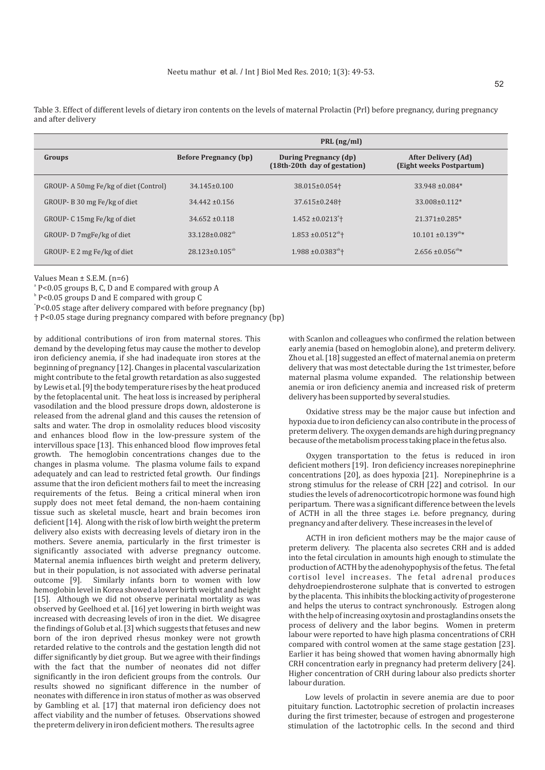**Groups Before Pregnancy (bp) During Pregnancy (dp) During Pregnancy (dp) (18th-20th day of gestation) After Delivery (Ad) (Eight weeks Postpartum) PRL (ng/ml)** GROUP- A 50mg Fe/kg of diet (Control) GROUP- B 30 mg Fe/kg of diet GROUP- C 15mg Fe/kg of diet GROUP- D 7mgFe/kg of diet GROUP- E 2 mg Fe/kg of diet 34.145±0.100 38.015±0.054† 33.948 ±0.084\* 34.442 ±0.156 37.615±0.248† 33.008±0.112\*  $34.652 + 0.118$  1.452 + 0.0213<sup>a</sup> + † 21.371±0.285\*  $33.128\pm0.082^{ab}$   $1.853\pm0.0512^{ab}$   $10.101\pm0.139^{ab*}$  $28.123 \pm 0.105^{ab}$   $1.988 \pm 0.0383^{ab}$   $2.656 \pm 0.056^{ab}$   $2.656 \pm 0.056^{ab}$ 

Table 3. Effect of different levels of dietary iron contents on the levels of maternal Prolactin (Prl) before pregnancy, during pregnancy and after delivery

Values Mean ± S.E.M. (n=6)

a P<0.05 groups B, C, D and E compared with group A

 $^{\circ}$  P<0.05 groups D and E compared with group C

\* P<0.05 stage after delivery compared with before pregnancy (bp)

† P<0.05 stage during pregnancy compared with before pregnancy (bp)

by additional contributions of iron from maternal stores. This demand by the developing fetus may cause the mother to develop iron deficiency anemia, if she had inadequate iron stores at the beginning of pregnancy [12]. Changes in placental vascularization might contribute to the fetal growth retardation as also suggested by Lewis et al. [9] the body temperature rises by the heat produced by the fetoplacental unit. The heat loss is increased by peripheral vasodilation and the blood pressure drops down, aldosterone is released from the adrenal gland and this causes the retension of salts and water. The drop in osmolality reduces blood viscosity and enhances blood flow in the low-pressure system of the intervillous space [13]. This enhanced blood flow improves fetal growth. The hemoglobin concentrations changes due to the changes in plasma volume. The plasma volume fails to expand adequately and can lead to restricted fetal growth. Our findings assume that the iron deficient mothers fail to meet the increasing requirements of the fetus. Being a critical mineral when iron supply does not meet fetal demand, the non-haem containing tissue such as skeletal muscle, heart and brain becomes iron deficient [14]. Along with the risk of low birth weight the preterm delivery also exists with decreasing levels of dietary iron in the mothers. Severe anemia, particularly in the first trimester is significantly associated with adverse pregnancy outcome. Maternal anemia influences birth weight and preterm delivery, but in their population, is not associated with adverse perinatal outcome [9]. Similarly infants born to women with low hemoglobin level in Korea showed a lower birth weight and height [15]. Although we did not observe perinatal mortality as was observed by Geelhoed et al. [16] yet lowering in birth weight was increased with decreasing levels of iron in the diet. We disagree the findings of Golub et al. [3] which suggests that fetuses and new born of the iron deprived rhesus monkey were not growth retarded relative to the controls and the gestation length did not differ significantly by diet group. But we agree with their findings with the fact that the number of neonates did not differ significantly in the iron deficient groups from the controls. Our results showed no significant difference in the number of neonates with difference in iron status of mother as was observed by Gambling et al. [17] that maternal iron deficiency does not affect viability and the number of fetuses. Observations showed the preterm delivery in iron deficient mothers. The results agree

with Scanlon and colleagues who confirmed the relation between early anemia (based on hemoglobin alone), and preterm delivery. Zhou et al. [18] suggested an effect of maternal anemia on preterm delivery that was most detectable during the 1st trimester, before maternal plasma volume expanded. The relationship between anemia or iron deficiency anemia and increased risk of preterm delivery has been supported by several studies.

Oxidative stress may be the major cause but infection and hypoxia due to iron deficiency can also contribute in the process of preterm delivery. The oxygen demands are high during pregnancy because of the metabolism process taking place in the fetus also.

Oxygen transportation to the fetus is reduced in iron deficient mothers [19]. Iron deficiency increases norepinephrine concentrations [20], as does hypoxia [21]. Norepinephrine is a strong stimulus for the release of CRH [22] and cotrisol. In our studies the levels of adrenocorticotropic hormone was found high peripartum. There was a significant difference between the levels of ACTH in all the three stages i.e. before pregnancy, during pregnancy and after delivery. These increases in the level of

ACTH in iron deficient mothers may be the major cause of preterm delivery. The placenta also secretes CRH and is added into the fetal circulation in amounts high enough to stimulate the production of ACTH by the adenohypophysis of the fetus. The fetal cortisol level increases. The fetal adrenal produces dehydroepiendrosterone sulphate that is converted to estrogen by the placenta. This inhibits the blocking activity of progesterone and helps the uterus to contract synchronously. Estrogen along with the help of increasing oxytosin and prostaglandins onsets the process of delivery and the labor begins. Women in preterm labour were reported to have high plasma concentrations of CRH compared with control women at the same stage gestation [23]. Earlier it has being showed that women having abnormally high CRH concentration early in pregnancy had preterm delivery [24]. Higher concentration of CRH during labour also predicts shorter labour duration.

Low levels of prolactin in severe anemia are due to poor pituitary function. Lactotrophic secretion of prolactin increases during the first trimester, because of estrogen and progesterone stimulation of the lactotrophic cells. In the second and third